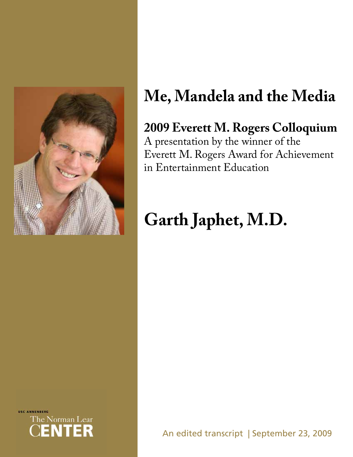

# **Me, Mandela and the Media**

# **2009 Everett M. Rogers Colloquium**

A presentation by the winner of the Everett M. Rogers Award for Achievement in Entertainment Education

# **Garth Japhet, M.D.**



An edited transcript | September 23, 2009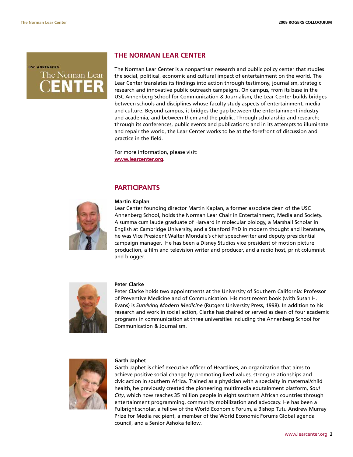**USC ANNENBERG** The Norman Lear ENTER

## **THE NORMAN LEAR CENTER**

The Norman Lear Center is a nonpartisan research and public policy center that studies the social, political, economic and cultural impact of entertainment on the world. The Lear Center translates its findings into action through testimony, journalism, strategic research and innovative public outreach campaigns. On campus, from its base in the USC Annenberg School for Communication & Journalism, the Lear Center builds bridges between schools and disciplines whose faculty study aspects of entertainment, media and culture. Beyond campus, it bridges the gap between the entertainment industry and academia, and between them and the public. Through scholarship and research; through its conferences, public events and publications; and in its attempts to illuminate and repair the world, the Lear Center works to be at the forefront of discussion and practice in the field.

For more information, please visit: **www.learcenter.org.**

## **PARTICIPANTS**



#### **Martin Kaplan**

Lear Center founding director Martin Kaplan, a former associate dean of the USC Annenberg School, holds the Norman Lear Chair in Entertainment, Media and Society. A summa cum laude graduate of Harvard in molecular biology, a Marshall Scholar in English at Cambridge University, and a Stanford PhD in modern thought and literature, he was Vice President Walter Mondale's chief speechwriter and deputy presidential campaign manager. He has been a Disney Studios vice president of motion picture production, a film and television writer and producer, and a radio host, print columnist and blogger.



#### **Peter Clarke**

Peter Clarke holds two appointments at the University of Southern California: Professor of Preventive Medicine and of Communication. His most recent book (with Susan H. Evans) is *Surviving Modern Medicine* (Rutgers University Press, 1998). In addition to his research and work in social action, Clarke has chaired or served as dean of four academic programs in communication at three universities including the Annenberg School for Communication & Journalism.



#### **Garth Japhet**

Garth Japhet is chief executive officer of Heartlines, an organization that aims to achieve positive social change by promoting lived values, strong relationships and civic action in southern Africa. Trained as a physician with a specialty in maternal/child health, he previously created the pioneering multimedia edutainment platform, *Soul City*, which now reaches 35 million people in eight southern African countries through entertainment programming, community mobilization and advocacy. He has been a Fulbright scholar, a fellow of the World Economic Forum, a Bishop Tutu Andrew Murray Prize for Media recipient, a member of the World Economic Forums Global agenda council, and a Senior Ashoka fellow.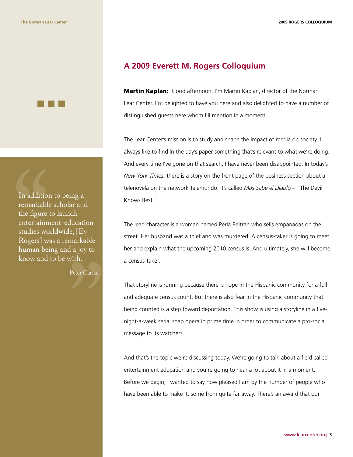In addition<br>remarkable<br>the figure<br>entertainm<br>studies wo<br>Rogers] w<br>human bei<br>know and In addition to being a remarkable scholar and the figure to launch entertainment-education studies worldwide, [Ev Rogers] was a remarkable human being and a joy to know and to be with.

-Peter Clarke

"

# **A 2009 Everett M. Rogers Colloquium**

**Martin Kaplan:** Good afternoon. I'm Martin Kaplan, director of the Norman Lear Center. I'm delighted to have you here and also delighted to have a number of distinguished guests here whom I'll mention in a moment.

The Lear Center's mission is to study and shape the impact of media on society. I always like to find in the day's paper something that's relevant to what we're doing. And every time I've gone on that search, I have never been disappointed. In today's *New York Times*, there is a story on the front page of the business section about a telenovela on the network Telemundo. It's called *Más Sabe el Diablo* – "The Devil Knows Best."

The lead character is a woman named Perla Beltran who sells empanadas on the street. Her husband was a thief and was murdered. A census-taker is going to meet her and explain what the upcoming 2010 census is. And ultimately, she will become a census-taker.

That storyline is running because there is hope in the Hispanic community for a full and adequate census count. But there is also fear in the Hispanic community that being counted is a step toward deportation. This show is using a storyline in a fivenight-a-week serial soap opera in prime time in order to communicate a pro-social message to its watchers.

And that's the topic we're discussing today. We're going to talk about a field called entertainment education and you're going to hear a lot about it in a moment. Before we begin, I wanted to say how pleased I am by the number of people who have been able to make it, some from quite far away. There's an award that our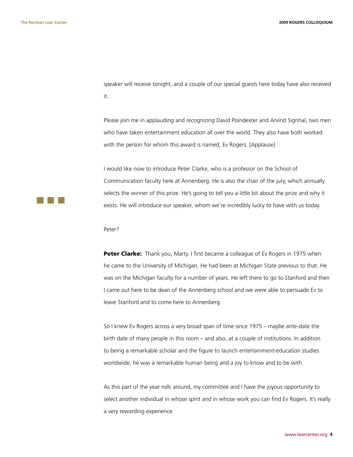speaker will receive tonight, and a couple of our special guests here today have also received it.

Please join me in applauding and recognizing David Poindexter and Arvind Signhal, two men who have taken entertainment education all over the world. They also have both worked with the person for whom this award is named, Ev Rogers. [Applause]

I would like now to introduce Peter Clarke, who is a professor on the School of Communication faculty here at Annenberg. He is also the chair of the jury, which annually selects the winner of this prize. He's going to tell you a little bit about the prize and why it exists. He will introduce our speaker, whom we're incredibly lucky to have with us today.

Peter?

Peter Clarke: Thank you, Marty. I first became a colleague of Ev Rogers in 1975 when he came to the University of Michigan. He had been at Michigan State previous to that. He was on the Michigan faculty for a number of years. He left there to go to Stanford and then I came out here to be dean of the Annenberg school and we were able to persuade Ev to leave Stanford and to come here to Annenberg.

So I knew Ev Rogers across a very broad span of time since 1975 – maybe ante-date the birth date of many people in this room – and also, at a couple of institutions. In addition to being a remarkable scholar and the figure to launch entertainment-education studies worldwide, he was a remarkable human being and a joy to know and to be with.

As this part of the year rolls around, my committee and I have the joyous opportunity to select another individual in whose spirit and in whose work you can find Ev Rogers. It's really a very rewarding experience.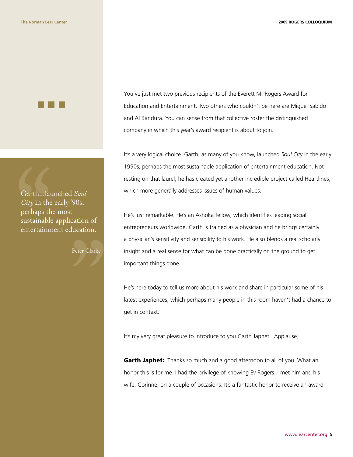

Garth...lau<br>City in the<br>perhaps th<br>sustainable<br>entertainm Garth...launched *Soul City* in the early '90s, perhaps the most sustainable application of entertainment education.

" -Peter Clarke

You've just met two previous recipients of the Everett M. Rogers Award for Education and Entertainment. Two others who couldn't be here are Miguel Sabido and Al Bandura. You can sense from that collective roster the distinguished company in which this year's award recipient is about to join.

It's a very logical choice. Garth, as many of you know, launched *Soul City* in the early 1990s, perhaps the most sustainable application of entertainment education. Not resting on that laurel, he has created yet another incredible project called Heartlines, which more generally addresses issues of human values.

He's just remarkable. He's an Ashoka fellow, which identifies leading social entrepreneurs worldwide. Garth is trained as a physician and he brings certainly a physician's sensitivity and sensibility to his work. He also blends a real scholarly insight and a real sense for what can be done practically on the ground to get important things done.

He's here today to tell us more about his work and share in particular some of his latest experiences, which perhaps many people in this room haven't had a chance to get in context.

It's my very great pleasure to introduce to you Garth Japhet. [Applause].

Garth Japhet: Thanks so much and a good afternoon to all of you. What an honor this is for me. I had the privilege of knowing Ev Rogers. I met him and his wife, Corinne, on a couple of occasions. It's a fantastic honor to receive an award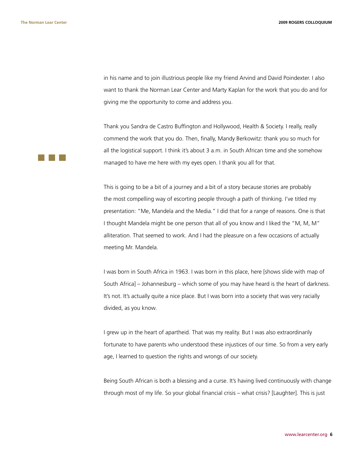**The Norman Lear Center 2009 ROGERS COLLOQUIUM**

in his name and to join illustrious people like my friend Arvind and David Poindexter. I also want to thank the Norman Lear Center and Marty Kaplan for the work that you do and for giving me the opportunity to come and address you.

Thank you Sandra de Castro Buffington and Hollywood, Health & Society. I really, really commend the work that you do. Then, finally, Mandy Berkowitz: thank you so much for all the logistical support. I think it's about 3 a.m. in South African time and she somehow managed to have me here with my eyes open. I thank you all for that.

This is going to be a bit of a journey and a bit of a story because stories are probably the most compelling way of escorting people through a path of thinking. I've titled my presentation: "Me, Mandela and the Media." I did that for a range of reasons. One is that I thought Mandela might be one person that all of you know and I liked the "M, M, M" alliteration. That seemed to work. And I had the pleasure on a few occasions of actually meeting Mr. Mandela.

I was born in South Africa in 1963. I was born in this place, here [shows slide with map of South Africa] – Johannesburg – which some of you may have heard is the heart of darkness. It's not. It's actually quite a nice place. But I was born into a society that was very racially divided, as you know.

I grew up in the heart of apartheid. That was my reality. But I was also extraordinarily fortunate to have parents who understood these injustices of our time. So from a very early age, I learned to question the rights and wrongs of our society.

Being South African is both a blessing and a curse. It's having lived continuously with change through most of my life. So your global financial crisis – what crisis? [Laughter]. This is just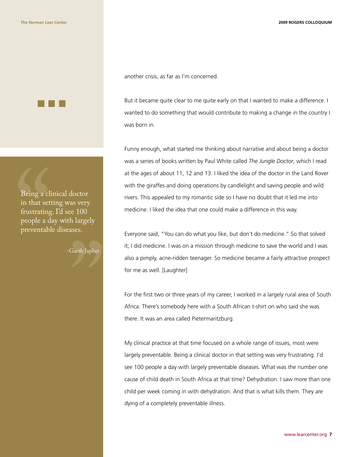

Being a cli<br>in that set<br>frustrating<br>people a d<br>preventabl Being a clinical doctor in that setting was very frustrating. I'd see 100 people a day with largely preventable diseases.

-Garth Japhet

"

another crisis, as far as I'm concerned.

But it became quite clear to me quite early on that I wanted to make a difference. I wanted to do something that would contribute to making a change in the country I was born in.

Funny enough, what started me thinking about narrative and about being a doctor was a series of books written by Paul White called *The Jungle Doctor*, which I read at the ages of about 11, 12 and 13. I liked the idea of the doctor in the Land Rover with the giraffes and doing operations by candlelight and saving people and wild rivers. This appealed to my romantic side so I have no doubt that it led me into medicine. I liked the idea that one could make a difference in this way.

Everyone said, "You can do what you like, but don't do medicine." So that solved it; I did medicine. I was on a mission through medicine to save the world and I was also a pimply, acne-ridden teenager. So medicine became a fairly attractive prospect for me as well. [Laughter]

For the first two or three years of my career, I worked in a largely rural area of South Africa. There's somebody here with a South African t-shirt on who said she was there. It was an area called Pietermaritzburg.

My clinical practice at that time focused on a whole range of issues, most were largely preventable. Being a clinical doctor in that setting was very frustrating. I'd see 100 people a day with largely preventable diseases. What was the number one cause of child death in South Africa at that time? Dehydration. I saw more than one child per week coming in with dehydration. And that is what kills them. They are dying of a completely preventable illness.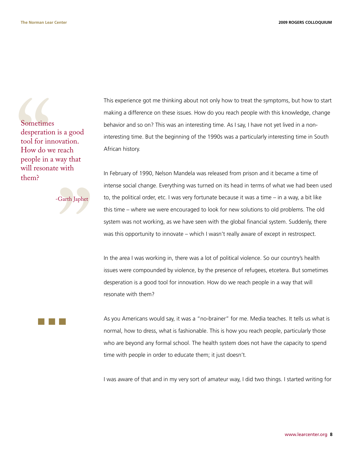Sometime<br>desperatio<br>tool for in:<br>How do w<br>people in a<br>will resona<br>them? Sometimes desperation is a good tool for innovation. How do we reach people in a way that will resonate with them?

" -Garth Japhet

This experience got me thinking about not only how to treat the symptoms, but how to start making a difference on these issues. How do you reach people with this knowledge, change behavior and so on? This was an interesting time. As I say, I have not yet lived in a noninteresting time. But the beginning of the 1990s was a particularly interesting time in South African history.

In February of 1990, Nelson Mandela was released from prison and it became a time of intense social change. Everything was turned on its head in terms of what we had been used to, the political order, etc. I was very fortunate because it was a time – in a way, a bit like this time – where we were encouraged to look for new solutions to old problems. The old system was not working, as we have seen with the global financial system. Suddenly, there was this opportunity to innovate – which I wasn't really aware of except in restrospect.

In the area I was working in, there was a lot of political violence. So our country's health issues were compounded by violence, by the presence of refugees, etcetera. But sometimes desperation is a good tool for innovation. How do we reach people in a way that will resonate with them?

As you Americans would say, it was a "no-brainer" for me. Media teaches. It tells us what is normal, how to dress, what is fashionable. This is how you reach people, particularly those who are beyond any formal school. The health system does not have the capacity to spend time with people in order to educate them; it just doesn't.

I was aware of that and in my very sort of amateur way, I did two things. I started writing for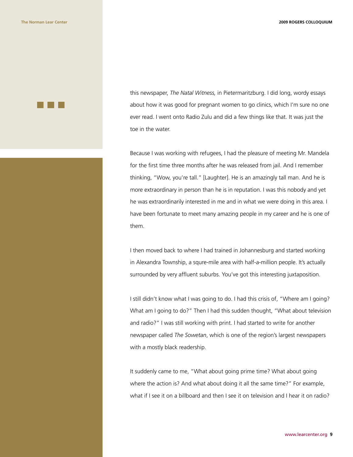

this newspaper, *The Natal Witness,* in Pietermaritzburg. I did long, wordy essays about how it was good for pregnant women to go clinics, which I'm sure no one ever read. I went onto Radio Zulu and did a few things like that. It was just the toe in the water.

Because I was working with refugees, I had the pleasure of meeting Mr. Mandela for the first time three months after he was released from jail. And I remember thinking, "Wow, you're tall." [Laughter]. He is an amazingly tall man. And he is more extraordinary in person than he is in reputation. I was this nobody and yet he was extraordinarily interested in me and in what we were doing in this area. I have been fortunate to meet many amazing people in my career and he is one of them.

I then moved back to where I had trained in Johannesburg and started working in Alexandra Township, a squre-mile area with half-a-million people. It's actually surrounded by very affluent suburbs. You've got this interesting juxtaposition.

I still didn't know what I was going to do. I had this crisis of, "Where am I going? What am I going to do?" Then I had this sudden thought, "What about television and radio?" I was still working with print. I had started to write for another newspaper called *The Sowetan*, which is one of the region's largest newspapers with a mostly black readership.

It suddenly came to me, "What about going prime time? What about going where the action is? And what about doing it all the same time?" For example, what if I see it on a billboard and then I see it on television and I hear it on radio?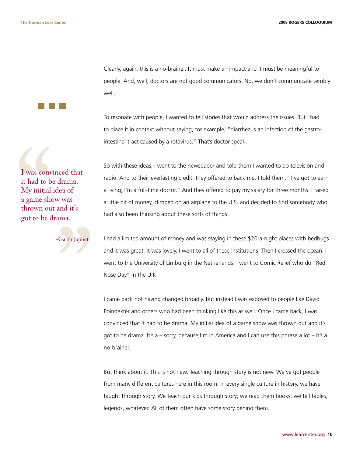**The Norman Lear Center 2009 ROGERS COLLOQUIUM**

Clearly, again, this is a no-brainer. It must make an impact and it must be meaningful to people. And, well, doctors are not good communicators. No, we don't communicate terribly well.

To resonate with people, I wanted to tell stories that would address the issues. But I had to place it in context without saying, for example, "diarrhea is an infection of the gastrointestinal tract caused by a rotavirus." That's doctor-speak.

I was conv<br>it had to b<br>My initial<br>a game sho<br>thrown ou<br>got to be c I was convinced that it had to be drama. My initial idea of a game show was thrown out and it's got to be drama.

Carth Japice -Garth Japhet

So with these ideas, I went to the newspaper and told them I wanted to do television and radio. And to their everlasting credit, they offered to back me. I told them, "I've got to earn a living; I'm a full-time doctor." And they offered to pay my salary for three months. I raised a little bit of money, climbed on an airplane to the U.S. and decided to find somebody who had also been thinking about these sorts of things.

I had a limited amount of money and was staying in these \$20-a-night places with bedbugs and it was great. It was lovely. I went to all of these institutions. Then I crossed the ocean. I went to the University of Limburg in the Netherlands. I went to Comic Relief who do "Red Nose Day" in the U.K.

I came back not having changed broadly. But instead I was exposed to people like David Poindexter and others who had been thinking like this as well. Once I came back, I was convinced that it had to be drama. My initial idea of a game show was thrown out and it's got to be drama. It's a – sorry, because I'm in America and I can use this phrase a lot – it's a no-brainer.

But think about it. This is not new. Teaching through story is not new. We've got people from many different cultures here in this room. In every single culture in history, we have taught through story. We teach our kids through story; we read them books; we tell fables, legends, whatever. All of them often have some story behind them.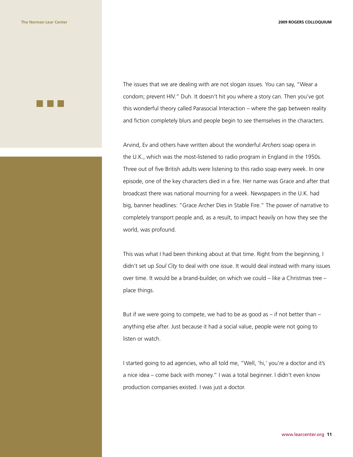

The issues that we are dealing with are not slogan issues. You can say, "Wear a condom; prevent HIV." Duh. It doesn't hit you where a story can. Then you've got this wonderful theory called Parasocial Interaction – where the gap between reality and fiction completely blurs and people begin to see themselves in the characters.

Arvind, Ev and others have written about the wonderful *Archers* soap opera in the U.K., which was the most-listened to radio program in England in the 1950s. Three out of five British adults were listening to this radio soap every week. In one episode, one of the key characters died in a fire. Her name was Grace and after that broadcast there was national mourning for a week. Newspapers in the U.K. had big, banner headlines: "Grace Archer Dies in Stable Fire." The power of narrative to completely transport people and, as a result, to impact heavily on how they see the world, was profound.

This was what I had been thinking about at that time. Right from the beginning, I didn't set up *Soul City* to deal with one issue. It would deal instead with many issues over time. It would be a brand-builder, on which we could – like a Christmas tree – place things.

But if we were going to compete, we had to be as good as – if not better than – anything else after. Just because it had a social value, people were not going to listen or watch.

I started going to ad agencies, who all told me, "Well, 'hi,' you're a doctor and it's a nice idea – come back with money." I was a total beginner. I didn't even know production companies existed. I was just a doctor.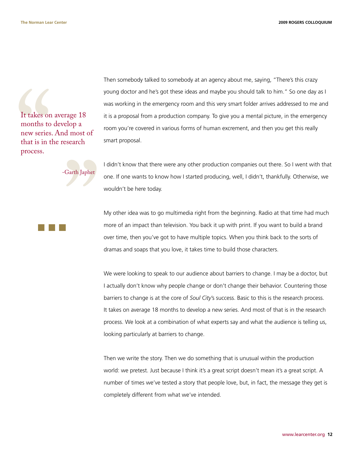It takes on<br>months to<br>new series<br>that is in t<br>process. It takes on average 18 months to develop a new series. And most of that is in the research process.

Then somebody talked to somebody at an agency about me, saying, "There's this crazy young doctor and he's got these ideas and maybe you should talk to him." So one day as I was working in the emergency room and this very smart folder arrives addressed to me and it is a proposal from a production company. To give you a mental picture, in the emergency room you're covered in various forms of human excrement, and then you get this really smart proposal.

Carth, Japanel -Garth Japhet

I didn't know that there were any other production companies out there. So I went with that one. If one wants to know how I started producing, well, I didn't, thankfully. Otherwise, we wouldn't be here today.

My other idea was to go multimedia right from the beginning. Radio at that time had much more of an impact than television. You back it up with print. If you want to build a brand over time, then you've got to have multiple topics. When you think back to the sorts of dramas and soaps that you love, it takes time to build those characters.

We were looking to speak to our audience about barriers to change. I may be a doctor, but I actually don't know why people change or don't change their behavior. Countering those barriers to change is at the core of *Soul City*'s success. Basic to this is the research process. It takes on average 18 months to develop a new series. And most of that is in the research process. We look at a combination of what experts say and what the audience is telling us, looking particularly at barriers to change.

Then we write the story. Then we do something that is unusual within the production world: we pretest. Just because I think it's a great script doesn't mean it's a great script. A number of times we've tested a story that people love, but, in fact, the message they get is completely different from what we've intended.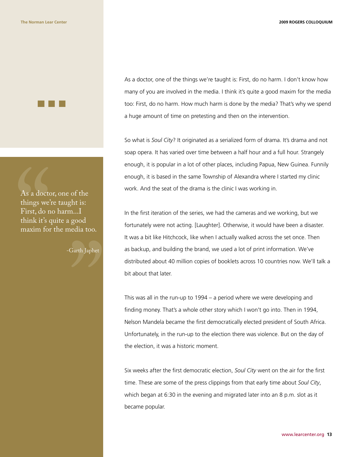

As a doctc<br>things we'.<br>First, do n<br>think it's c<br>maxim for As a doctor, one of the things we're taught is: First, do no harm...I think it's quite a good maxim for the media too.

-Garth Japhet

"

As a doctor, one of the things we're taught is: First, do no harm. I don't know how many of you are involved in the media. I think it's quite a good maxim for the media too: First, do no harm. How much harm is done by the media? That's why we spend a huge amount of time on pretesting and then on the intervention.

So what is *Soul City*? It originated as a serialized form of drama. It's drama and not soap opera. It has varied over time between a half hour and a full hour. Strangely enough, it is popular in a lot of other places, including Papua, New Guinea. Funnily enough, it is based in the same Township of Alexandra where I started my clinic work. And the seat of the drama is the clinic I was working in.

In the first iteration of the series, we had the cameras and we working, but we fortunately were not acting. [Laughter]. Otherwise, it would have been a disaster. It was a bit like Hitchcock, like when I actually walked across the set once. Then as backup, and building the brand, we used a lot of print information. We've distributed about 40 million copies of booklets across 10 countries now. We'll talk a bit about that later.

This was all in the run-up to 1994 – a period where we were developing and finding money. That's a whole other story which I won't go into. Then in 1994, Nelson Mandela became the first democratically elected president of South Africa. Unfortunately, in the run-up to the election there was violence. But on the day of the election, it was a historic moment.

Six weeks after the first democratic election, *Soul City* went on the air for the first time. These are some of the press clippings from that early time about *Soul City*, which began at 6:30 in the evening and migrated later into an 8 p.m. slot as it became popular.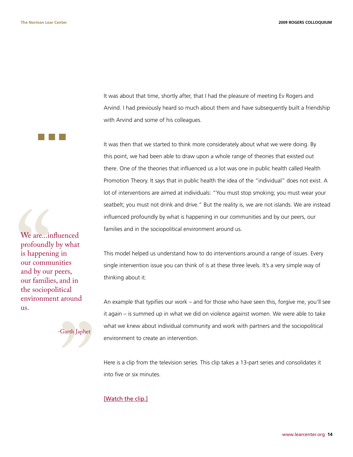It was about that time, shortly after, that I had the pleasure of meeting Ev Rogers and Arvind. I had previously heard so much about them and have subsequently built a friendship with Arvind and some of his colleagues.

It was then that we started to think more considerately about what we were doing. By this point, we had been able to draw upon a whole range of theories that existed out there. One of the theories that influenced us a lot was one in public health called Health Promotion Theory. It says that in public health the idea of the "individual" does not exist. A lot of interventions are aimed at individuals: "You must stop smoking; you must wear your seatbelt; you must not drink and drive." But the reality is, we are not islands. We are instead influenced profoundly by what is happening in our communities and by our peers, our families and in the sociopolitical environment around us.

This model helped us understand how to do interventions around a range of issues. Every single intervention issue you can think of is at these three levels. It's a very simple way of thinking about it.

An example that typifies our work – and for those who have seen this, forgive me, you'll see it again – is summed up in what we did on violence against women. We were able to take what we knew about individual community and work with partners and the sociopolitical environment to create an intervention.

Here is a clip from the television series. This clip takes a 13-part series and consolidates it into five or six minutes.

[Watch the clip.]

We are...ir<br>profoundly<br>is happeni<br>our comm<br>and by our<br>our familie<br>the sociop<br>environme<br>us. We are...influenced profoundly by what is happening in our communities and by our peers, our families, and in the sociopolitical environment around us.



www.learcenter.org **14**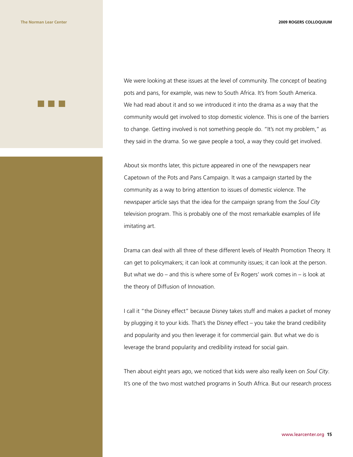We were looking at these issues at the level of community. The concept of beating pots and pans, for example, was new to South Africa. It's from South America. We had read about it and so we introduced it into the drama as a way that the community would get involved to stop domestic violence. This is one of the barriers to change. Getting involved is not something people do. "It's not my problem," as they said in the drama. So we gave people a tool, a way they could get involved.

About six months later, this picture appeared in one of the newspapers near Capetown of the Pots and Pans Campaign. It was a campaign started by the community as a way to bring attention to issues of domestic violence. The newspaper article says that the idea for the campaign sprang from the *Soul City* television program. This is probably one of the most remarkable examples of life imitating art.

Drama can deal with all three of these different levels of Health Promotion Theory. It can get to policymakers; it can look at community issues; it can look at the person. But what we do – and this is where some of Ev Rogers' work comes in – is look at the theory of Diffusion of Innovation.

I call it "the Disney effect" because Disney takes stuff and makes a packet of money by plugging it to your kids. That's the Disney effect – you take the brand credibility and popularity and you then leverage it for commercial gain. But what we do is leverage the brand popularity and credibility instead for social gain.

Then about eight years ago, we noticed that kids were also really keen on *Soul City*. It's one of the two most watched programs in South Africa. But our research process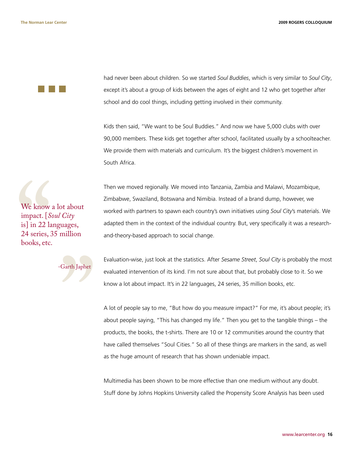had never been about children. So we started *Soul Buddies*, which is very similar to *Soul City*, except it's about a group of kids between the ages of eight and 12 who get together after school and do cool things, including getting involved in their community.

Kids then said, "We want to be Soul Buddies." And now we have 5,000 clubs with over 90,000 members. These kids get together after school, facilitated usually by a schoolteacher. We provide them with materials and curriculum. It's the biggest children's movement in South Africa.

We know<br>
impact. [*S*<br>
is] in 22 la<br>
24 series, 3<br>
books, etc. We know a lot about impact. [*Soul City* is] in 22 languages, 24 series, 35 million books, etc.



Then we moved regionally. We moved into Tanzania, Zambia and Malawi, Mozambique, Zimbabwe, Swaziland, Botswana and Nimibia. Instead of a brand dump, however, we worked with partners to spawn each country's own initiatives using *Soul City*'s materials. We adapted them in the context of the individual country. But, very specifically it was a researchand-theory-based approach to social change.

Evaluation-wise, just look at the statistics. After *Sesame Street*, *Soul City* is probably the most evaluated intervention of its kind. I'm not sure about that, but probably close to it. So we know a lot about impact. It's in 22 languages, 24 series, 35 million books, etc.

A lot of people say to me, "But how do you measure impact?" For me, it's about people; it's about people saying, "This has changed my life." Then you get to the tangible things – the products, the books, the t-shirts. There are 10 or 12 communities around the country that have called themselves "Soul Cities." So all of these things are markers in the sand, as well as the huge amount of research that has shown undeniable impact.

Multimedia has been shown to be more effective than one medium without any doubt. Stuff done by Johns Hopkins University called the Propensity Score Analysis has been used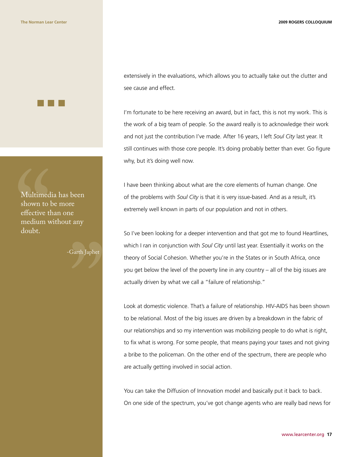**The Norman Lear Center 2009 ROGERS COLLOQUIUM**



Multimed<br>shown to l<br>effective th<br>medium w<br>doubt. Multimedia has been shown to be more effective than one medium without any doubt.

-Garth Japhet

"

extensively in the evaluations, which allows you to actually take out the clutter and see cause and effect.

I'm fortunate to be here receiving an award, but in fact, this is not my work. This is the work of a big team of people. So the award really is to acknowledge their work and not just the contribution I've made. After 16 years, I left *Soul City* last year. It still continues with those core people. It's doing probably better than ever. Go figure why, but it's doing well now.

I have been thinking about what are the core elements of human change. One of the problems with *Soul City* is that it is very issue-based. And as a result, it's extremely well known in parts of our population and not in others.

So I've been looking for a deeper intervention and that got me to found Heartlines, which I ran in conjunction with *Soul City* until last year. Essentially it works on the theory of Social Cohesion. Whether you're in the States or in South Africa, once you get below the level of the poverty line in any country – all of the big issues are actually driven by what we call a "failure of relationship."

Look at domestic violence. That's a failure of relationship. HIV-AIDS has been shown to be relational. Most of the big issues are driven by a breakdown in the fabric of our relationships and so my intervention was mobilizing people to do what is right, to fix what is wrong. For some people, that means paying your taxes and not giving a bribe to the policeman. On the other end of the spectrum, there are people who are actually getting involved in social action.

You can take the Diffusion of Innovation model and basically put it back to back. On one side of the spectrum, you've got change agents who are really bad news for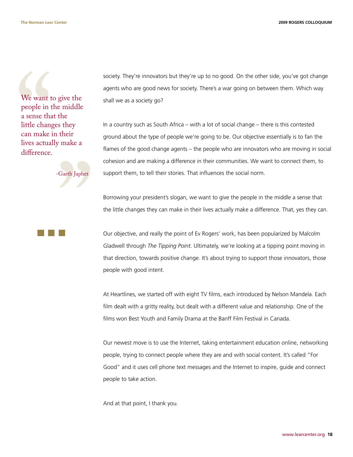**The Norman Lear Center 2009 ROGERS COLLOQUIUM**

We want t<br>people in t<br>a sense that<br>little chang<br>can make<br>lives actual<br>difference. We want to give the people in the middle a sense that the little changes they can make in their lives actually make a difference.



society. They're innovators but they're up to no good. On the other side, you've got change agents who are good news for society. There's a war going on between them. Which way shall we as a society go?

In a country such as South Africa – with a lot of social change – there is this contested ground about the type of people we're going to be. Our objective essentially is to fan the flames of the good change agents – the people who are innovators who are moving in social cohesion and are making a difference in their communities. We want to connect them, to support them, to tell their stories. That influences the social norm.

Borrowing your president's slogan, we want to give the people in the middle a sense that the little changes they can make in their lives actually make a difference. That, yes they can.

Our objective, and really the point of Ev Rogers' work, has been popularized by Malcolm Gladwell through *The Tipping Point*. Ultimately, we're looking at a tipping point moving in that direction, towards positive change. It's about trying to support those innovators, those people with good intent.

At Heartlines, we started off with eight TV films, each introduced by Nelson Mandela. Each film dealt with a gritty reality, but dealt with a different value and relationship. One of the films won Best Youth and Family Drama at the Banff Film Festival in Canada.

Our newest move is to use the Internet, taking entertainment education online, networking people, trying to connect people where they are and with social content. It's called "For Good" and it uses cell phone text messages and the Internet to inspire, guide and connect people to take action.

And at that point, I thank you.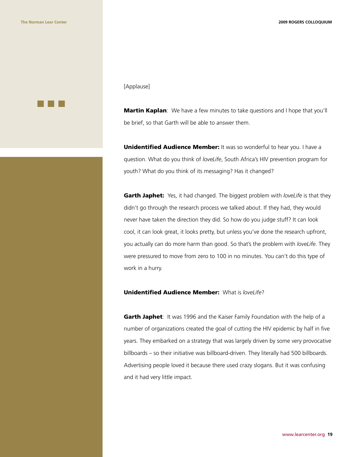#### [Applause]

**Martin Kaplan**: We have a few minutes to take questions and I hope that you'll be brief, so that Garth will be able to answer them.

**Unidentified Audience Member:** It was so wonderful to hear you. I have a question. What do you think of *loveLife*, South Africa's HIV prevention program for youth? What do you think of its messaging? Has it changed?

Garth Japhet: Yes, it had changed. The biggest problem with *loveLife* is that they didn't go through the research process we talked about. If they had, they would never have taken the direction they did. So how do you judge stuff? It can look cool, it can look great, it looks pretty, but unless you've done the research upfront, you actually can do more harm than good. So that's the problem with *loveLife*. They were pressured to move from zero to 100 in no minutes. You can't do this type of work in a hurry.

### Unidentified Audience Member: What is *loveLife*?

**Garth Japhet:** It was 1996 and the Kaiser Family Foundation with the help of a number of organizations created the goal of cutting the HIV epidemic by half in five years. They embarked on a strategy that was largely driven by some very provocative billboards – so their initiative was billboard-driven. They literally had 500 billboards. Advertising people loved it because there used crazy slogans. But it was confusing and it had very little impact.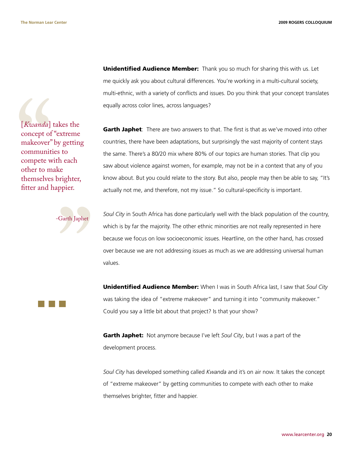[*Kwanda*]<br>concept of<br>makeover"<br>communit<br>compete w<br>other to m<br>themselves<br>fitter and l [*Kwanda*] takes the concept of "extreme makeover" by getting communities to compete with each other to make themselves brighter, fitter and happier.

**Unidentified Audience Member:** Thank you so much for sharing this with us. Let me quickly ask you about cultural differences. You're working in a multi-cultural society, multi-ethnic, with a variety of conflicts and issues. Do you think that your concept translates equally across color lines, across languages?

Garth Japhet: There are two answers to that. The first is that as we've moved into other countries, there have been adaptations, but surprisingly the vast majority of content stays the same. There's a 80/20 mix where 80% of our topics are human stories. That clip you saw about violence against women, for example, may not be in a context that any of you know about. But you could relate to the story. But also, people may then be able to say, "It's actually not me, and therefore, not my issue." So cultural-specificity is important.



*Soul City* in South Africa has done particularly well with the black population of the country, which is by far the majority. The other ethnic minorities are not really represented in here because we focus on low socioeconomic issues. Heartline, on the other hand, has crossed over because we are not addressing issues as much as we are addressing universal human values.

Unidentified Audience Member: When I was in South Africa last, I saw that *Soul City* was taking the idea of "extreme makeover" and turning it into "community makeover." Could you say a little bit about that project? Is that your show?

Garth Japhet: Not anymore because I've left *Soul City*, but I was a part of the development process.

*Soul City* has developed something called *Kwanda* and it's on air now. It takes the concept of "extreme makeover" by getting communities to compete with each other to make themselves brighter, fitter and happier.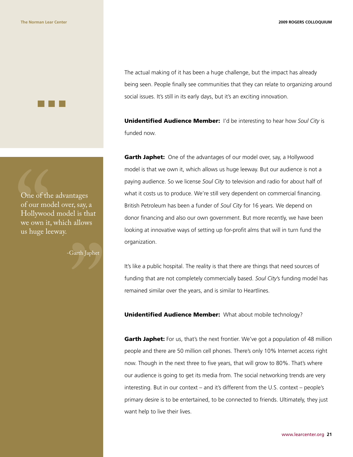One of the<br>of our moo<br>Hollywoo<br>we own it,<br>us huge lee One of the advantages of our model over, say, a Hollywood model is that we own it, which allows us huge leeway.

-Garth Japhet

"

The actual making of it has been a huge challenge, but the impact has already being seen. People finally see communities that they can relate to organizing around social issues. It's still in its early days, but it's an exciting innovation.

Unidentified Audience Member: I'd be interesting to hear how *Soul City* is funded now.

Garth Japhet: One of the advantages of our model over, say, a Hollywood model is that we own it, which allows us huge leeway. But our audience is not a paying audience. So we license *Soul City* to television and radio for about half of what it costs us to produce. We're still very dependent on commercial financing. British Petroleum has been a funder of *Soul City* for 16 years. We depend on donor financing and also our own government. But more recently, we have been looking at innovative ways of setting up for-profit alms that will in turn fund the organization.

It's like a public hospital. The reality is that there are things that need sources of funding that are not completely commercially based. *Soul City*'s funding model has remained similar over the years, and is similar to Heartlines.

Unidentified Audience Member: What about mobile technology?

Garth Japhet: For us, that's the next frontier. We've got a population of 48 million people and there are 50 million cell phones. There's only 10% Internet access right now. Though in the next three to five years, that will grow to 80%. That's where our audience is going to get its media from. The social networking trends are very interesting. But in our context – and it's different from the U.S. context – people's primary desire is to be entertained, to be connected to friends. Ultimately, they just want help to live their lives.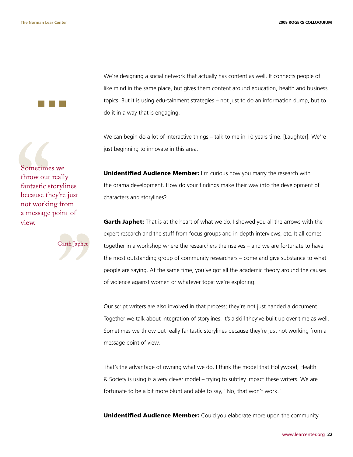We're designing a social network that actually has content as well. It connects people of like mind in the same place, but gives them content around education, health and business topics. But it is using edu-tainment strategies – not just to do an information dump, but to do it in a way that is engaging.

We can begin do a lot of interactive things – talk to me in 10 years time. [Laughter]. We're just beginning to innovate in this area.

Sometime<br>throw out<br>fantastic st<br>because th<br>not workir<br>a message<br>view. Sometimes we throw out really fantastic storylines because they're just not working from a message point of view.

" -Garth Japhet

**Unidentified Audience Member:** I'm curious how you marry the research with the drama development. How do your findings make their way into the development of characters and storylines?

Garth Japhet: That is at the heart of what we do. I showed you all the arrows with the expert research and the stuff from focus groups and in-depth interviews, etc. It all comes together in a workshop where the researchers themselves – and we are fortunate to have the most outstanding group of community researchers – come and give substance to what people are saying. At the same time, you've got all the academic theory around the causes of violence against women or whatever topic we're exploring.

Our script writers are also involved in that process; they're not just handed a document. Together we talk about integration of storylines. It's a skill they've built up over time as well. Sometimes we throw out really fantastic storylines because they're just not working from a message point of view.

That's the advantage of owning what we do. I think the model that Hollywood, Health & Society is using is a very clever model – trying to subtley impact these writers. We are fortunate to be a bit more blunt and able to say, "No, that won't work."

**Unidentified Audience Member:** Could you elaborate more upon the community